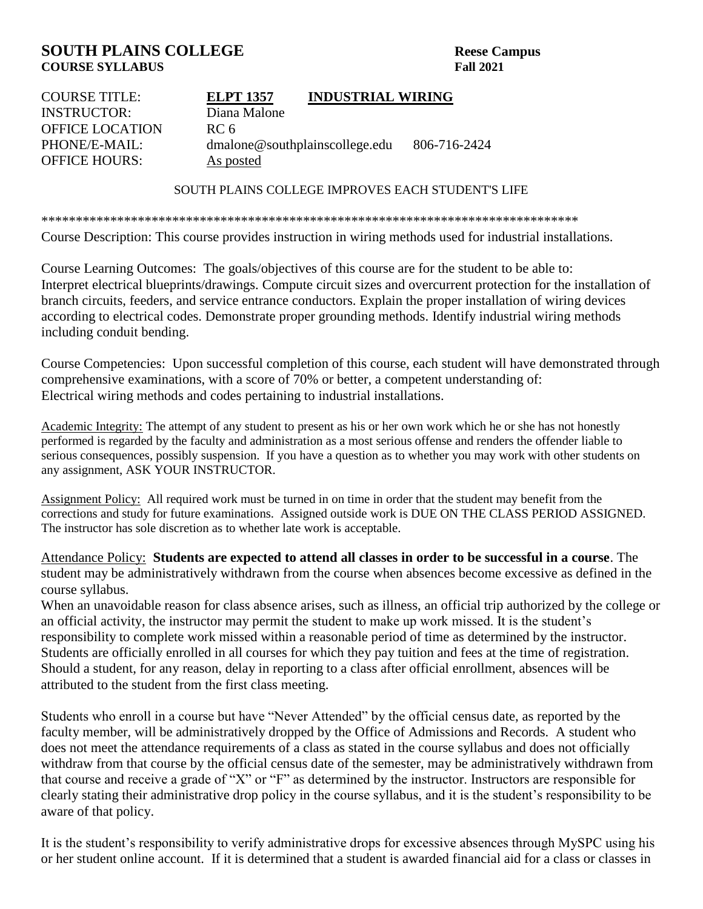## **SOUTH PLAINS COLLEGE** Reese Campus **COURSE SYLLABUS Fall 2021**

| <b>COURSE TITLE:</b>   | <b>ELPT 1357</b>               | <b>INDUSTRIAL WIRING</b> |              |
|------------------------|--------------------------------|--------------------------|--------------|
| <b>INSTRUCTOR:</b>     | Diana Malone                   |                          |              |
| <b>OFFICE LOCATION</b> | RC 6                           |                          |              |
| PHONE/E-MAIL:          | dmalone@southplainscollege.edu |                          | 806-716-2424 |
| <b>OFFICE HOURS:</b>   | As posted                      |                          |              |
|                        |                                |                          |              |

SOUTH PLAINS COLLEGE IMPROVES EACH STUDENT'S LIFE

\*\*\*\*\*\*\*\*\*\*\*\*\*\*\*\*\*\*\*\*\*\*\*\*\*\*\*\*\*\*\*\*\*\*\*\*\*\*\*\*\*\*\*\*\*\*\*\*\*\*\*\*\*\*\*\*\*\*\*\*\*\*\*\*\*\*\*\*\*\*\*\*\*\*\*\*\*\*

Course Description: This course provides instruction in wiring methods used for industrial installations.

Course Learning Outcomes: The goals/objectives of this course are for the student to be able to: Interpret electrical blueprints/drawings. Compute circuit sizes and overcurrent protection for the installation of branch circuits, feeders, and service entrance conductors. Explain the proper installation of wiring devices according to electrical codes. Demonstrate proper grounding methods. Identify industrial wiring methods including conduit bending.

Course Competencies: Upon successful completion of this course, each student will have demonstrated through comprehensive examinations, with a score of 70% or better, a competent understanding of: Electrical wiring methods and codes pertaining to industrial installations.

Academic Integrity: The attempt of any student to present as his or her own work which he or she has not honestly performed is regarded by the faculty and administration as a most serious offense and renders the offender liable to serious consequences, possibly suspension. If you have a question as to whether you may work with other students on any assignment, ASK YOUR INSTRUCTOR.

Assignment Policy: All required work must be turned in on time in order that the student may benefit from the corrections and study for future examinations. Assigned outside work is DUE ON THE CLASS PERIOD ASSIGNED. The instructor has sole discretion as to whether late work is acceptable.

Attendance Policy: **Students are expected to attend all classes in order to be successful in a course**. The student may be administratively withdrawn from the course when absences become excessive as defined in the course syllabus.

When an unavoidable reason for class absence arises, such as illness, an official trip authorized by the college or an official activity, the instructor may permit the student to make up work missed. It is the student's responsibility to complete work missed within a reasonable period of time as determined by the instructor. Students are officially enrolled in all courses for which they pay tuition and fees at the time of registration. Should a student, for any reason, delay in reporting to a class after official enrollment, absences will be attributed to the student from the first class meeting.

Students who enroll in a course but have "Never Attended" by the official census date, as reported by the faculty member, will be administratively dropped by the Office of Admissions and Records. A student who does not meet the attendance requirements of a class as stated in the course syllabus and does not officially withdraw from that course by the official census date of the semester, may be administratively withdrawn from that course and receive a grade of "X" or "F" as determined by the instructor. Instructors are responsible for clearly stating their administrative drop policy in the course syllabus, and it is the student's responsibility to be aware of that policy.

It is the student's responsibility to verify administrative drops for excessive absences through MySPC using his or her student online account. If it is determined that a student is awarded financial aid for a class or classes in